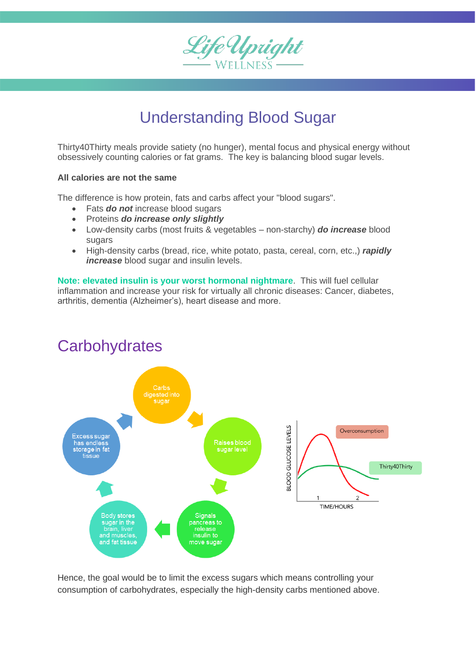

## Understanding Blood Sugar

Thirty40Thirty meals provide satiety (no hunger), mental focus and physical energy without obsessively counting calories or fat grams. The key is balancing blood sugar levels.

## **All calories are not the same**

The difference is how protein, fats and carbs affect your "blood sugars".

- Fats *do not* increase blood sugars
- Proteins *do increase only slightly*
- Low-density carbs (most fruits & vegetables non-starchy) *do increase* blood sugars
- High-density carbs (bread, rice, white potato, pasta, cereal, corn, etc.,) *rapidly increase* blood sugar and insulin levels.

**Note: elevated insulin is your worst hormonal nightmare**. This will fuel cellular inflammation and increase your risk for virtually all chronic diseases: Cancer, diabetes, arthritis, dementia (Alzheimer's), heart disease and more.



## **Carbohydrates**

Hence, the goal would be to limit the excess sugars which means controlling your consumption of carbohydrates, especially the high-density carbs mentioned above.